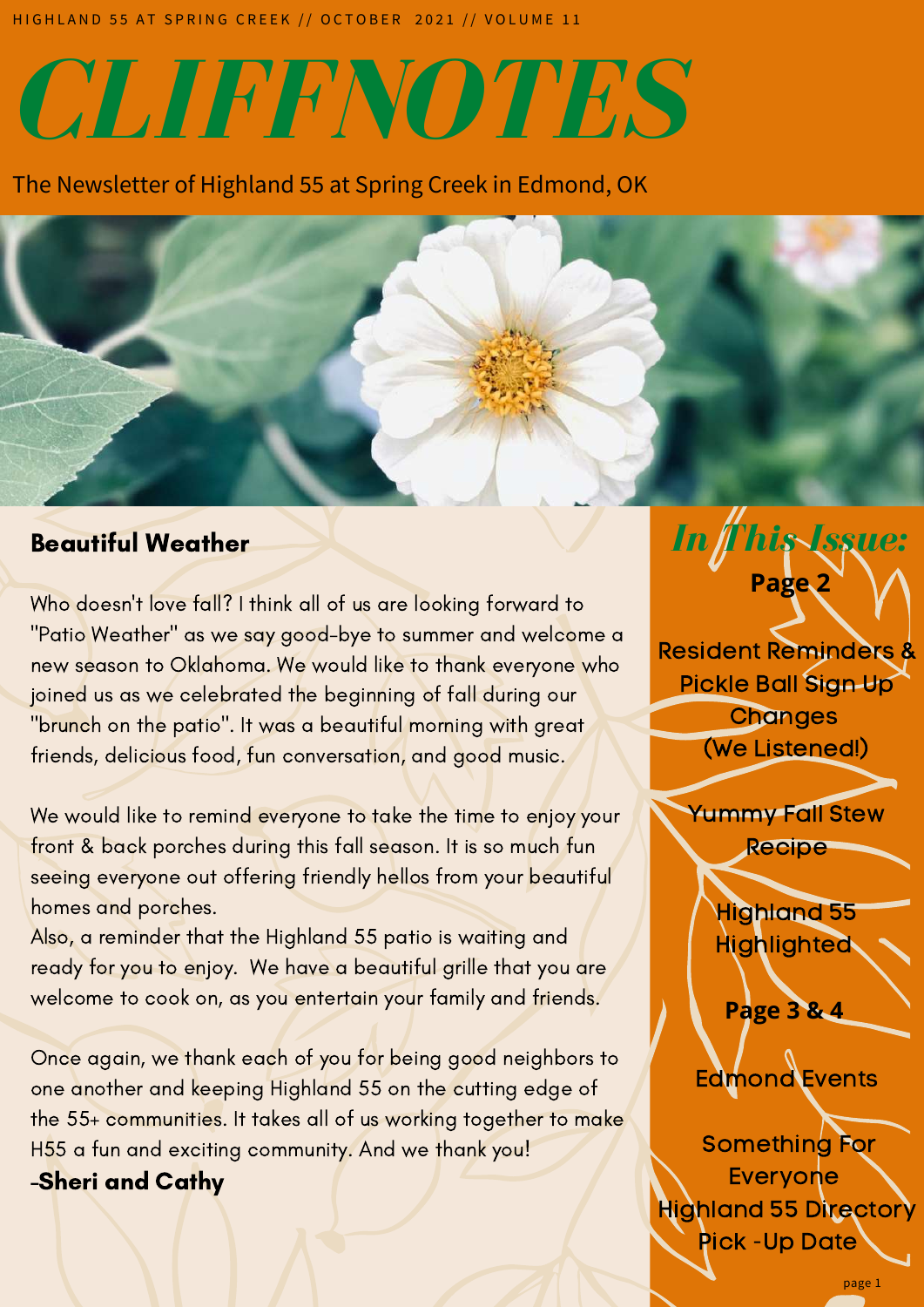H I G H L A N D 55 AT SPRING CREEK // OCTOBER 2021 // VOLUME 11

# *CLIFFNOTES*

The Newsletter of Highland 55 at Spring Creek in Edmond, OK

#### Beautiful Weather

Who doesn't love fall? I think all of us are looking forward to "Patio Weather" as we say good-bye to summer and welcome a new season to Oklahoma. We would like to thank everyone who joined us as we celebrated the beginning of fall during our "brunch on the patio". It was a beautiful morning with great friends, delicious food, fun conversation, and good music.

We would like to remind everyone to take the time to enjoy your front & back porches during this fall season. It is so much fun seeing everyone out offering friendly hellos from your beautiful homes and porches.

Also, a reminder that the Highland 55 patio is waiting and ready for you to enjoy. We have a beautiful grille that you are welcome to cook on, as you entertain your family and friends.

Once again, we thank each of you for being good neighbors to one another and keeping Highland 55 on the cutting edge of the 55+ communities. It takes all of us working together to make H55 a fun and exciting community. And we thank you!

-Sheri and Cathy

## *Indianaes* **Page 2** Resident Reminders & Pickle Ball Sign Up (We Listened!)

*In This Issue:*



 $\sim$ 

Darrin Hand

 $1 + \sqrt{2}$ 

Aighlighted Highland 55

Edmond! **Page 3 & 4**

 $\mathcal{N}$  July 2021 **Callenge** Edmond Events

Something For Everyone Highland 55 Directory Pick -Up Date

page 1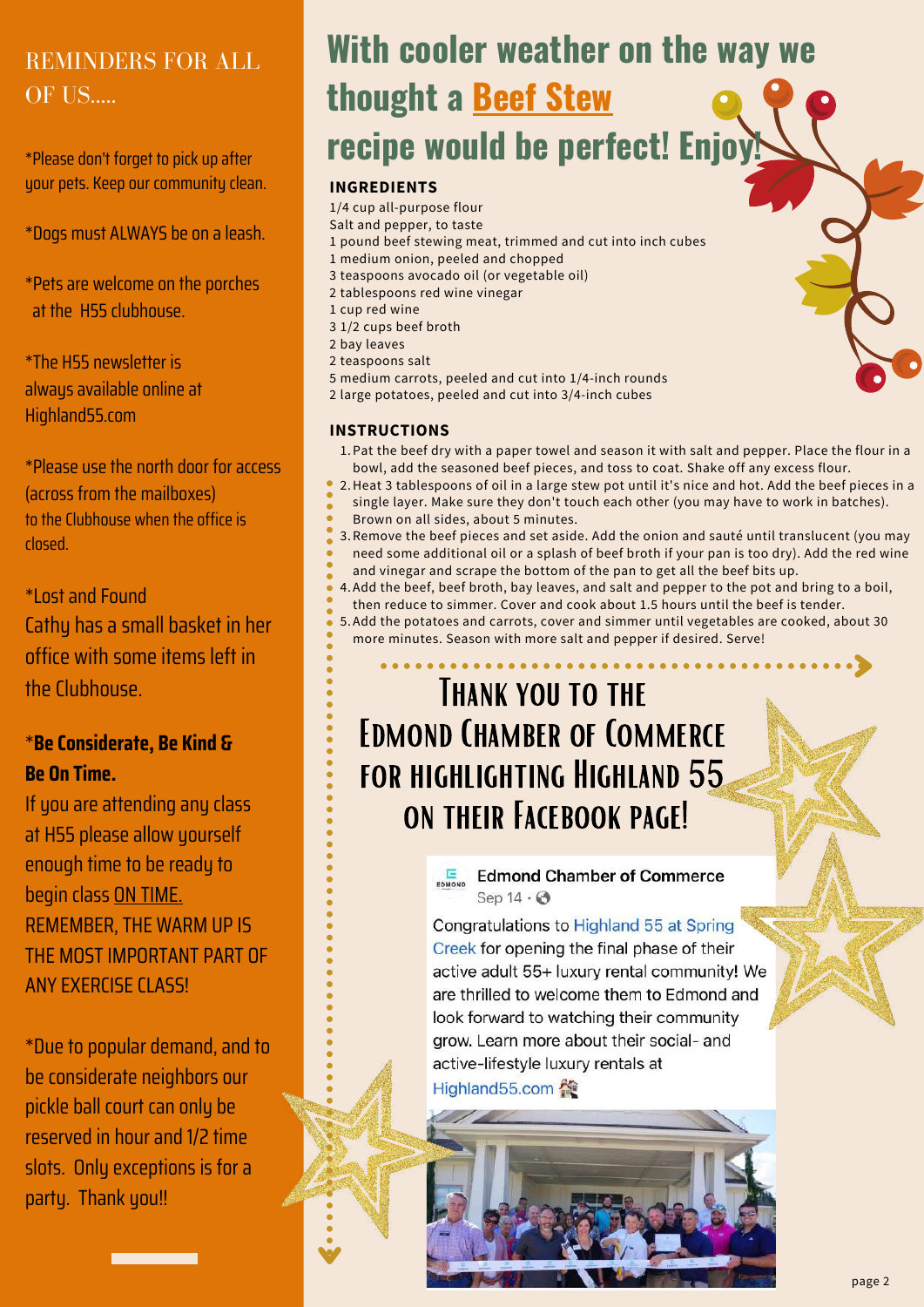### REMINDERS FOR ALL OF US....

\*Please don't forget to pick up after your pets. Keep our community clean.

\*Dogs must ALWAYS be on a leash.

\*Pets are welcome on the porches at the H55 clubhouse.

\*The H55 newsletter is always available online at Highland55.com

\*Please use the north door for access (across from the mailboxes) to the Clubhouse when the office is closed.

\*Lost and Found Cathy has a small basket in her office with some items left in the Clubhouse.

#### \***Be Considerate, Be Kind & Be On Time.**

If you are attending any class at H55 please allow yourself enough time to be ready to begin class ON TIME. REMEMBER, THE WARM UP IS THE MOST IMPORTANT PART OF ANY EXERCISE CLASS!

\*Due to popular demand, and to be considerate neighbors our pickle ball court can only be reserved in hour and 1/2 time slots. Only exceptions is for a party. Thank you!!

## **With cooler weather on the way we thought a Beef Stew recipe would be perfect! Enjoy!**

#### **INGREDIENTS**

1/4 cup all-purpose flour Salt and pepper, to taste pound beef stewing meat, trimmed and cut into inch cubes medium onion, peeled and chopped teaspoons avocado oil (or vegetable oil) tablespoons red wine vinegar cup red wine 1/2 cups beef broth bay leaves teaspoons salt medium carrots, peeled and cut into 1/4-inch rounds large potatoes, peeled and cut into 3/4-inch cubes

#### **INSTRUCTIONS**

- 1.Pat the beef dry with a paper towel and season it with salt and pepper. Place the flour in a bowl, add the seasoned beef pieces, and toss to coat. Shake off any excess flour.
- 2. Heat 3 tablespoons of oil in a large stew pot until it's nice and hot. Add the beef pieces in a single layer. Make sure they don't touch each other (you may have to work in batches).
- Brown on all sides, about 5 minutes.
	- 3.Remove the beef pieces and set aside. Add the onion and sauté until translucent (you may need some additional oil or a splash of beef broth if your pan is too dry). Add the red wine
- and vinegar and scrape the bottom of the pan to get all the beef bits up.
- 4.Add the beef, beef broth, bay leaves, and salt and pepper to the pot and bring to a boil, then reduce to simmer. Cover and cook about 1.5 hours until the beef is tender.
- Add the potatoes and carrots, cover and simmer until vegetables are cooked, about 30 5. more minutes. Season with more salt and pepper if desired. Serve!

## THANK YOU TO THE Edmond Chamber of Commerce for highlighting Highland 55 ON THEIR FACEBOOK PAGE!

ED Edmond Chamber of Commerce Sep  $14 \cdot \odot$ 

Congratulations to Highland 55 at Spring Creek for opening the final phase of their active adult 55+ luxury rental community! We are thrilled to welcome them to Edmond and look forward to watching their community grow. Learn more about their social- and active-lifestyle luxury rentals at Highland55.com 全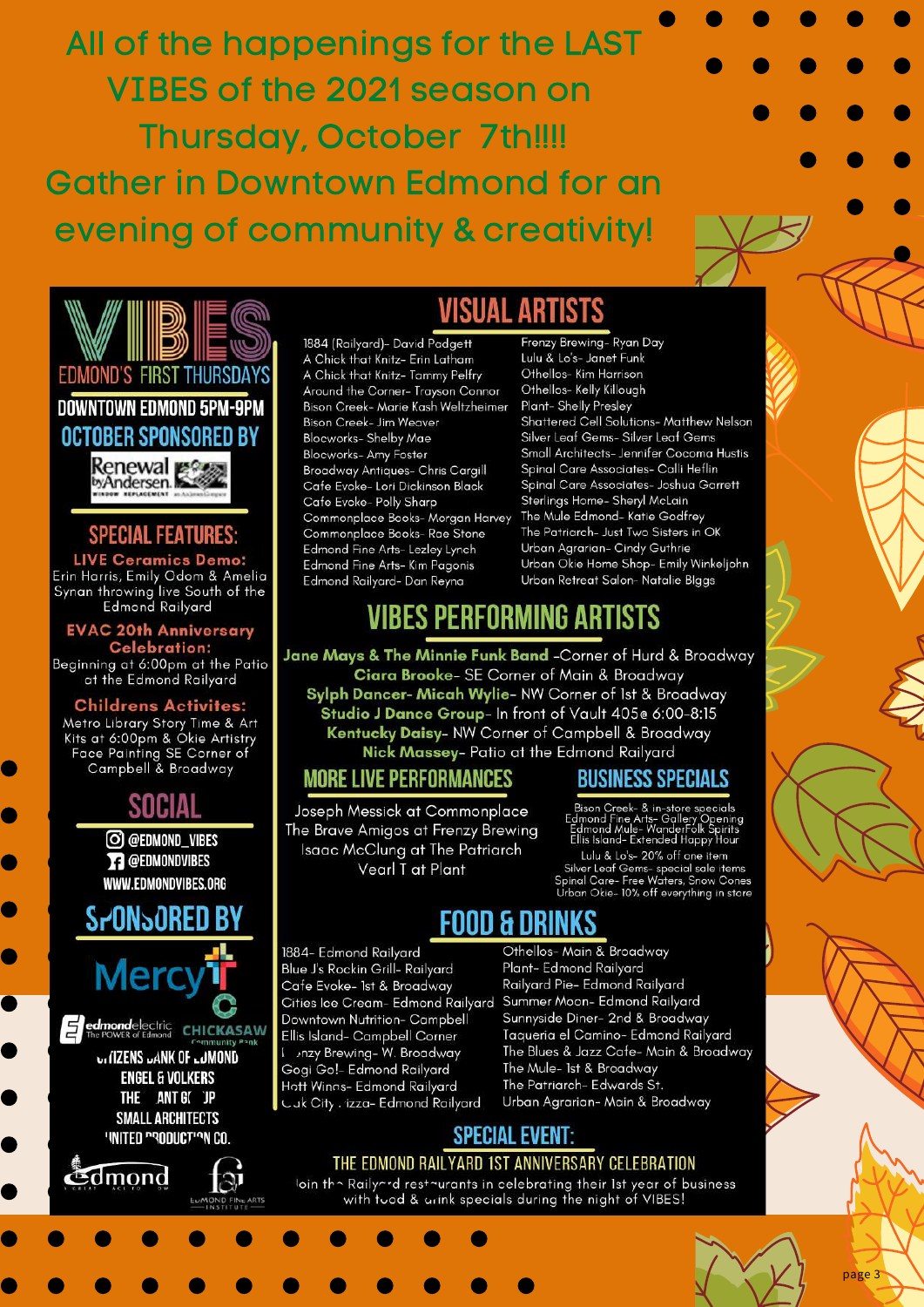All of the happenings for the LAST VIBES of the 2021 season on **Thursday, October 7th!!!! Gather in Downtown Edmond for an** evening of community & creativity!



1884 (Railyard)- David Padgett A Chick that Knitz- Erin Latham A Chick that Knitz- Tammy Pelfry Around the Corner-Trayson Connor Bison Creek- Marie Kash Weltzheimer Bison Creek- Jim Weaver Blocworks- Shelby Mae Blocworks- Amy Foster Broadway Antiques- Chris Cargill Cafe Evoke- Lori Dickinson Black Cafe Evoke- Polly Sharp Commonplace Books- Morgan Harvey Commonplace Books- Rae Stone Edmond Fine Arts- Lezley Lynch Edmond Fine Arts- Kim Pagonis Edmond Railvard- Dan Reyna

Frenzy Brewing- Ryan Day Lulu & Lo's- Janet Funk Othellos- Kim Harrison Othellos- Kelly Killough Plant- Shelly Presley Shattered Cell Solutions- Matthew Nelson Silver Leaf Gems- Silver Leaf Gems Small Architects- Jennifer Cocoma Hustis Spinal Care Associates- Calli Heflin Spinal Care Associates- Joshua Garrett Sterlings Home- Sheryl McLain The Mule Edmond- Katie Godfrey The Patriarch- Just Two Sisters in OK Urban Agrarian- Cindy Guthrie Urban Okie Home Shop- Emily Winkeljohn Urban Retreat Salon-Natalie Blggs

## **VIBES PERFORMING ARTISTS**

Jane Mays & The Minnie Funk Band -Corner of Hurd & Broadway Ciara Brooke- SE Corner of Main & Broadway Sylph Dancer- Micah Wylie- NW Corner of 1st & Broadway Studio J Dance Group- In front of Vault 405e 6:00-8:15 Kentucky Daisy- NW Corner of Campbell & Broadway Nick Massey- Patio at the Edmond Railyard

#### **MORE LIVE PERFORMANCES**

Joseph Messick at Commonplace The Brave Amigos at Frenzy Brewing Isaac McClung at The Patriarch Vearl T at Plant

#### **BUSINESS SPECIALS**

Bison Creek- & in-store specials Bison Creek- & III-stole Speeling<br>Edmond Fine Arts- Gallery Opening<br>Edmond Mule- WanderFolk Spirits<br>Ellis Island- Extended Happy Hour Lulu & Lo's- 20% off one item

Silver Leaf Gems- special sale items<br>Spinal Care- Free Waters, Snow Cones<br>Urban Okie- 10% off everything in store

## FOOD & DRIN

1884- Edmond Railyard Blue J's Rockin Grill- Railyard Cafe Evoke- 1st & Broadway Cities Ice Cream- Edmond Railyard Downtown Nutrition- Campbell Ellis Island- Campbell Corner 1 nzy Brewing-W. Broadway Gogi Go!- Edmond Railyard Hott Winas- Edmond Railyard Cuk City . izza- Edmond Railyard

Othellos-Main & Broadway Plant- Edmond Railyard Railyard Pie- Edmond Railyard Summer Moon- Edmond Railyard Sunnyside Diner- 2nd & Broadway Taqueria el Camino- Edmond Railyard The Blues & Jazz Cafe-Main & Broadway The Mule- 1st & Broadway The Patriarch- Edwards St. Urban Agrarian-Main & Broadway

#### **SPECIAL EVENT:** THE EDMOND RAILYARD 1ST ANNIVERSARY CELEBRATION

loin the Railyerd resteurants in celebrating their 1st year of business with tood & arink specials during the night of VIBES!